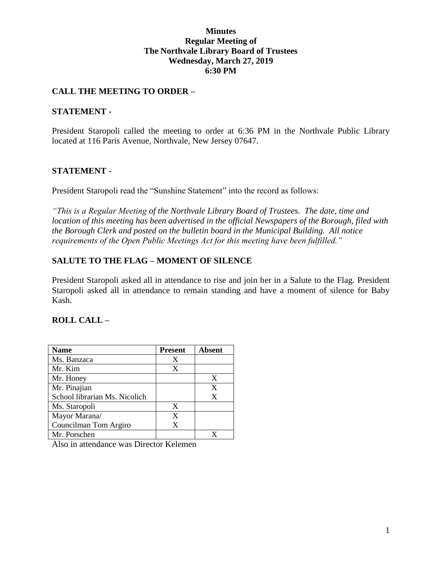### **Minutes Regular Meeting of The Northvale Library Board of Trustees Wednesday, March 27, 2019 6:30 PM**

## **CALL THE MEETING TO ORDER –**

### **STATEMENT -**

President Staropoli called the meeting to order at 6:36 PM in the Northvale Public Library located at 116 Paris Avenue, Northvale, New Jersey 07647.

### **STATEMENT -**

President Staropoli read the "Sunshine Statement" into the record as follows:

*"This is a Regular Meeting of the Northvale Library Board of Trustees. The date, time and location of this meeting has been advertised in the official Newspapers of the Borough, filed with the Borough Clerk and posted on the bulletin board in the Municipal Building. All notice requirements of the Open Public Meetings Act for this meeting have been fulfilled."* 

### **SALUTE TO THE FLAG – MOMENT OF SILENCE**

President Staropoli asked all in attendance to rise and join her in a Salute to the Flag. President Staropoli asked all in attendance to remain standing and have a moment of silence for Baby Kash.

### **ROLL CALL –**

| Name                          | <b>Present</b> | <b>Absent</b> |
|-------------------------------|----------------|---------------|
| Ms. Banzaca                   | X              |               |
| Mr. Kim                       | X              |               |
| Mr. Honey                     |                | X             |
| Mr. Pinajian                  |                | X             |
| School librarian Ms. Nicolich |                | X             |
| Ms. Staropoli                 | X              |               |
| Mayor Marana/                 | X              |               |
| Councilman Tom Argiro         | X              |               |
| Mr. Porschen                  |                |               |

Also in attendance was Director Kelemen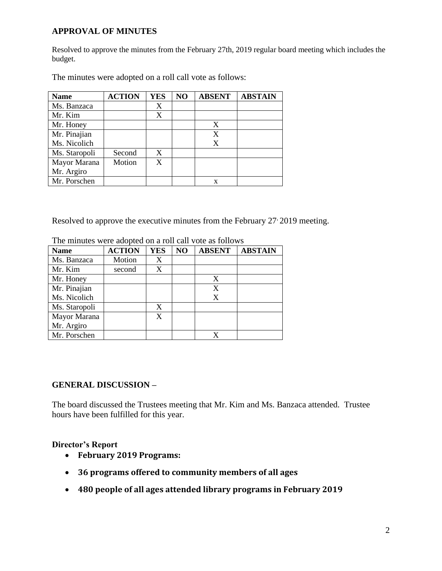## **APPROVAL OF MINUTES**

Resolved to approve the minutes from the February 27th, 2019 regular board meeting which includes the budget.

| <b>Name</b>   | <b>ACTION</b> | YES | NO | <b>ABSENT</b> | <b>ABSTAIN</b> |
|---------------|---------------|-----|----|---------------|----------------|
| Ms. Banzaca   |               | X   |    |               |                |
| Mr. Kim       |               | X   |    |               |                |
| Mr. Honey     |               |     |    | X             |                |
| Mr. Pinajian  |               |     |    | X             |                |
| Ms. Nicolich  |               |     |    | X             |                |
| Ms. Staropoli | Second        | X   |    |               |                |
| Mayor Marana  | Motion        | X   |    |               |                |
| Mr. Argiro    |               |     |    |               |                |
| Mr. Porschen  |               |     |    | x             |                |

The minutes were adopted on a roll call vote as follows:

Resolved to approve the executive minutes from the February 27 2019 meeting.

| <b>Name</b>   | <b>ACTION</b> | <b>YES</b> | NO | <b>ABSENT</b> | <b>ABSTAIN</b> |
|---------------|---------------|------------|----|---------------|----------------|
| Ms. Banzaca   | Motion        | X          |    |               |                |
| Mr. Kim       | second        | X          |    |               |                |
| Mr. Honey     |               |            |    | X             |                |
| Mr. Pinajian  |               |            |    | X             |                |
| Ms. Nicolich  |               |            |    | X             |                |
| Ms. Staropoli |               | X          |    |               |                |
| Mayor Marana  |               | X          |    |               |                |
| Mr. Argiro    |               |            |    |               |                |
| Mr. Porschen  |               |            |    |               |                |

The minutes were adopted on a roll call vote as follows

## **GENERAL DISCUSSION –**

The board discussed the Trustees meeting that Mr. Kim and Ms. Banzaca attended. Trustee hours have been fulfilled for this year.

## **Director's Report**

- **February 2019 Programs:**
- **36 programs offered to community members of all ages**
- **480 people of all ages attended library programs in February 2019**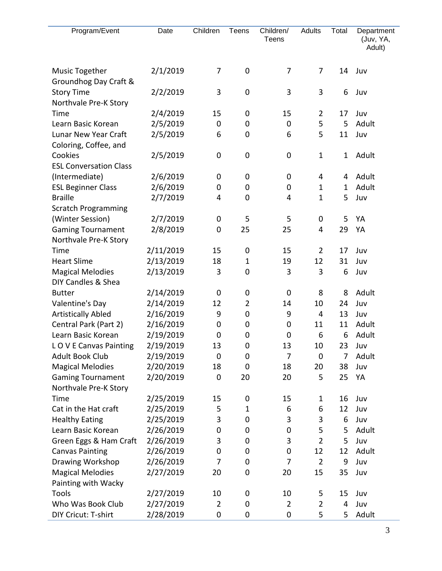| Program/Event                                  | Date      | Children       | Teens       | Children/<br>Teens | Adults         | Total       | Department<br>(Juv, YA,<br>Adult) |
|------------------------------------------------|-----------|----------------|-------------|--------------------|----------------|-------------|-----------------------------------|
| <b>Music Together</b><br>Groundhog Day Craft & | 2/1/2019  | 7              | $\pmb{0}$   | 7                  | 7              | 14          | Juv                               |
| <b>Story Time</b><br>Northvale Pre-K Story     | 2/2/2019  | 3              | $\pmb{0}$   | 3                  | 3              | 6           | Juv                               |
| Time                                           | 2/4/2019  | 15             | 0           | 15                 | $\overline{2}$ | 17          | Juv                               |
| Learn Basic Korean                             | 2/5/2019  | $\mathbf 0$    | 0           | $\mathbf 0$        | 5              | 5           | Adult                             |
| Lunar New Year Craft                           | 2/5/2019  | 6              | 0           | 6                  | 5              | 11          | Juv                               |
| Coloring, Coffee, and                          |           |                |             |                    |                |             |                                   |
| Cookies                                        | 2/5/2019  | 0              | $\pmb{0}$   | 0                  | $\mathbf{1}$   | 1           | Adult                             |
| <b>ESL Conversation Class</b>                  |           |                |             |                    |                |             |                                   |
| (Intermediate)                                 | 2/6/2019  | 0              | 0           | 0                  | 4              | 4           | Adult                             |
| <b>ESL Beginner Class</b>                      | 2/6/2019  | 0              | 0           | 0                  | $\mathbf{1}$   | $\mathbf 1$ | Adult                             |
| <b>Braille</b>                                 | 2/7/2019  | 4              | 0           | 4                  | $\mathbf{1}$   | 5           | Juv                               |
| <b>Scratch Programming</b>                     |           |                |             |                    |                |             |                                   |
| (Winter Session)                               | 2/7/2019  | 0              | 5           | 5                  | 0              | 5           | YA                                |
| <b>Gaming Tournament</b>                       | 2/8/2019  | 0              | 25          | 25                 | $\overline{4}$ | 29          | YA                                |
| Northvale Pre-K Story                          |           |                |             |                    |                |             |                                   |
| Time                                           | 2/11/2019 | 15             | $\pmb{0}$   | 15                 | $\overline{2}$ | 17          | Juv                               |
| <b>Heart Slime</b>                             | 2/13/2019 | 18             | $\mathbf 1$ | 19                 | 12             | 31          | Juv                               |
| <b>Magical Melodies</b>                        | 2/13/2019 | 3              | 0           | 3                  | 3              | 6           | Juv                               |
| DIY Candles & Shea                             |           |                |             |                    |                |             |                                   |
| <b>Butter</b>                                  | 2/14/2019 | 0              | 0           | 0                  | 8              | 8           | Adult                             |
| Valentine's Day                                | 2/14/2019 | 12             | 2           | 14                 | 10             | 24          | Juv                               |
| <b>Artistically Abled</b>                      | 2/16/2019 | 9              | 0           | 9                  | 4              | 13          | Juv                               |
| Central Park (Part 2)                          | 2/16/2019 | 0              | 0           | 0                  | 11             | 11          | Adult                             |
| Learn Basic Korean                             | 2/19/2019 | 0              | 0           | 0                  | 6              | 6           | Adult                             |
| LOVE Canvas Painting                           | 2/19/2019 | 13             | $\pmb{0}$   | 13                 | 10             | 23          | Juv                               |
| <b>Adult Book Club</b>                         | 2/19/2019 | $\mathbf 0$    | 0           | 7                  | $\mathbf 0$    | 7           | Adult                             |
| <b>Magical Melodies</b>                        | 2/20/2019 | 18             | 0           | 18                 | 20             | 38          | Juv                               |
| <b>Gaming Tournament</b>                       | 2/20/2019 | 0              | 20          | 20                 | 5              | 25          | YA                                |
| Northvale Pre-K Story                          |           |                |             |                    |                |             |                                   |
| Time                                           | 2/25/2019 | 15             | 0           | 15                 | $\mathbf 1$    | 16          | Juv                               |
| Cat in the Hat craft                           | 2/25/2019 | 5              | $\mathbf 1$ | 6                  | 6              | 12          | Juv                               |
| <b>Healthy Eating</b>                          | 2/25/2019 | 3              | 0           | 3                  | 3              | 6           | Juv                               |
| Learn Basic Korean                             | 2/26/2019 | 0              | 0           | $\mathbf 0$        | 5              | 5           | Adult                             |
| Green Eggs & Ham Craft                         | 2/26/2019 | 3              | 0           | 3                  | $\overline{2}$ | 5           | Juv                               |
| <b>Canvas Painting</b>                         | 2/26/2019 | 0              | 0           | $\mathbf 0$        | 12             | 12          | Adult                             |
| Drawing Workshop                               | 2/26/2019 | 7              | 0           | 7                  | $\overline{2}$ | 9           | Juv                               |
| <b>Magical Melodies</b>                        | 2/27/2019 | 20             | 0           | 20                 | 15             | 35          | Juv                               |
| Painting with Wacky                            |           |                |             |                    |                |             |                                   |
| Tools                                          | 2/27/2019 | 10             | 0           | 10                 | 5              | 15          | Juv                               |
| Who Was Book Club                              | 2/27/2019 | $\overline{2}$ | 0           | $\overline{2}$     | $\overline{2}$ | 4           | Juv                               |
| DIY Cricut: T-shirt                            | 2/28/2019 | 0              | 0           | 0                  | 5              | 5           | Adult                             |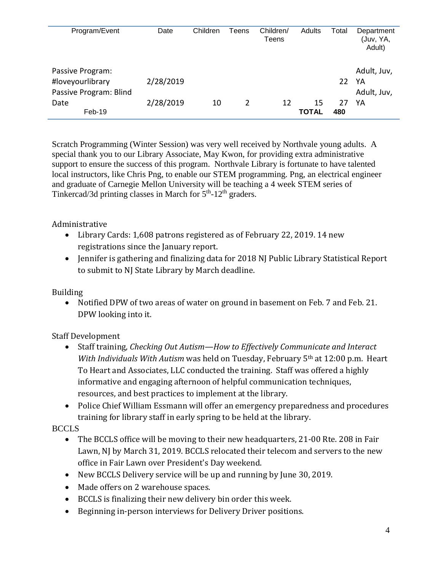| Program/Event                                                  | Date      | Children | Teens | Children/<br>Teens | Adults             | Total     | Department<br>(Juv, YA,<br>Adult) |
|----------------------------------------------------------------|-----------|----------|-------|--------------------|--------------------|-----------|-----------------------------------|
| Passive Program:<br>#loveyourlibrary<br>Passive Program: Blind | 2/28/2019 |          |       |                    |                    | 22        | Adult, Juv,<br>YA<br>Adult, Juv,  |
| Date<br>Feb-19                                                 | 2/28/2019 | 10       | 2     | 12                 | 15<br><b>TOTAL</b> | 27<br>480 | YA                                |

Scratch Programming (Winter Session) was very well received by Northvale young adults. A special thank you to our Library Associate, May Kwon, for providing extra administrative support to ensure the success of this program. Northvale Library is fortunate to have talented local instructors, like Chris Png, to enable our STEM programming. Png, an electrical engineer and graduate of Carnegie Mellon University will be teaching a 4 week STEM series of Tinkercad/3d printing classes in March for  $5<sup>th</sup>$ -12<sup>th</sup> graders.

## Administrative

- Library Cards: 1,608 patrons registered as of February 22, 2019. 14 new registrations since the January report.
- Jennifer is gathering and finalizing data for 2018 NJ Public Library Statistical Report to submit to NJ State Library by March deadline.

# Building

 Notified DPW of two areas of water on ground in basement on Feb. 7 and Feb. 21. DPW looking into it.

# Staff Development

- Staff training, *Checking Out Autism—How to Effectively Communicate and Interact With Individuals With Autism* was held on Tuesday, February 5th at 12:00 p.m. Heart To Heart and Associates, LLC conducted the training. Staff was offered a highly informative and engaging afternoon of helpful communication techniques, resources, and best practices to implement at the library.
- Police Chief William Essmann will offer an emergency preparedness and procedures training for library staff in early spring to be held at the library.

# **BCCLS**

- The BCCLS office will be moving to their new headquarters, 21-00 Rte. 208 in Fair Lawn, NJ by March 31, 2019. BCCLS relocated their telecom and servers to the new office in Fair Lawn over President's Day weekend.
- New BCCLS Delivery service will be up and running by June 30, 2019.
- Made offers on 2 warehouse spaces.
- BCCLS is finalizing their new delivery bin order this week.
- Beginning in-person interviews for Delivery Driver positions.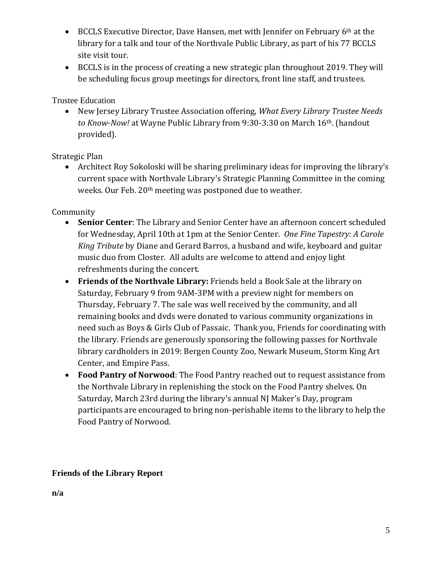- BCCLS Executive Director, Dave Hansen, met with Jennifer on February 6<sup>th</sup> at the library for a talk and tour of the Northvale Public Library, as part of his 77 BCCLS site visit tour.
- BCCLS is in the process of creating a new strategic plan throughout 2019. They will be scheduling focus group meetings for directors, front line staff, and trustees.

Trustee Education

 New Jersey Library Trustee Association offering, *What Every Library Trustee Needs to Know-Now!* at Wayne Public Library from 9:30-3:30 on March 16th. (handout provided).

Strategic Plan

 Architect Roy Sokoloski will be sharing preliminary ideas for improving the library's current space with Northvale Library's Strategic Planning Committee in the coming weeks. Our Feb. 20th meeting was postponed due to weather.

Community

- **Senior Center**: The Library and Senior Center have an afternoon concert scheduled for Wednesday, April 10th at 1pm at the Senior Center. *One Fine Tapestry: A Carole King Tribute* by Diane and Gerard Barros, a husband and wife, keyboard and guitar music duo from Closter. All adults are welcome to attend and enjoy light refreshments during the concert.
- **Friends of the Northvale Library:** Friends held a Book Sale at the library on Saturday, February 9 from 9AM-3PM with a preview night for members on Thursday, February 7. The sale was well received by the community, and all remaining books and dvds were donated to various community organizations in need such as Boys & Girls Club of Passaic. Thank you, Friends for coordinating with the library. Friends are generously sponsoring the following passes for Northvale library cardholders in 2019: Bergen County Zoo, Newark Museum, Storm King Art Center, and Empire Pass.
- **Food Pantry of Norwood**: The Food Pantry reached out to request assistance from the Northvale Library in replenishing the stock on the Food Pantry shelves. On Saturday, March 23rd during the library's annual NJ Maker's Day, program participants are encouraged to bring non-perishable items to the library to help the Food Pantry of Norwood.

# **Friends of the Library Report**

**n/a**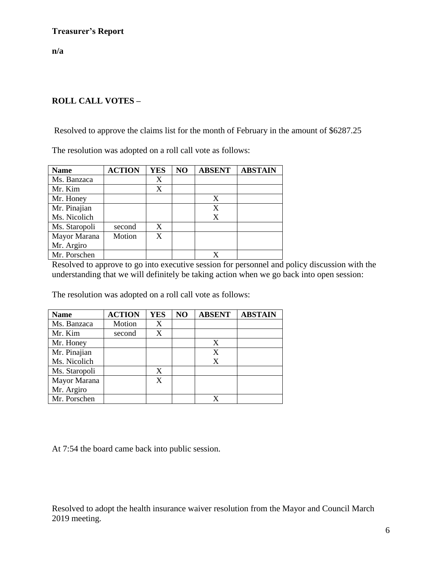**n/a**

## **ROLL CALL VOTES –**

Resolved to approve the claims list for the month of February in the amount of \$6287.25

The resolution was adopted on a roll call vote as follows:

| <b>Name</b>   | <b>ACTION</b> | <b>YES</b> | NO | <b>ABSENT</b> | <b>ABSTAIN</b> |
|---------------|---------------|------------|----|---------------|----------------|
| Ms. Banzaca   |               | X          |    |               |                |
| Mr. Kim       |               | X          |    |               |                |
| Mr. Honey     |               |            |    | X             |                |
| Mr. Pinajian  |               |            |    | X             |                |
| Ms. Nicolich  |               |            |    | X             |                |
| Ms. Staropoli | second        | X          |    |               |                |
| Mayor Marana  | Motion        | X          |    |               |                |
| Mr. Argiro    |               |            |    |               |                |
| Mr. Porschen  |               |            |    |               |                |

Resolved to approve to go into executive session for personnel and policy discussion with the understanding that we will definitely be taking action when we go back into open session:

The resolution was adopted on a roll call vote as follows:

| <b>Name</b>   | <b>ACTION</b> | <b>YES</b> | NO | <b>ABSENT</b> | <b>ABSTAIN</b> |
|---------------|---------------|------------|----|---------------|----------------|
| Ms. Banzaca   | Motion        | X          |    |               |                |
| Mr. Kim       | second        | X          |    |               |                |
| Mr. Honey     |               |            |    | X             |                |
| Mr. Pinajian  |               |            |    | X             |                |
| Ms. Nicolich  |               |            |    | X             |                |
| Ms. Staropoli |               | X          |    |               |                |
| Mayor Marana  |               |            |    |               |                |
| Mr. Argiro    |               |            |    |               |                |
| Mr. Porschen  |               |            |    |               |                |

At 7:54 the board came back into public session.

Resolved to adopt the health insurance waiver resolution from the Mayor and Council March 2019 meeting.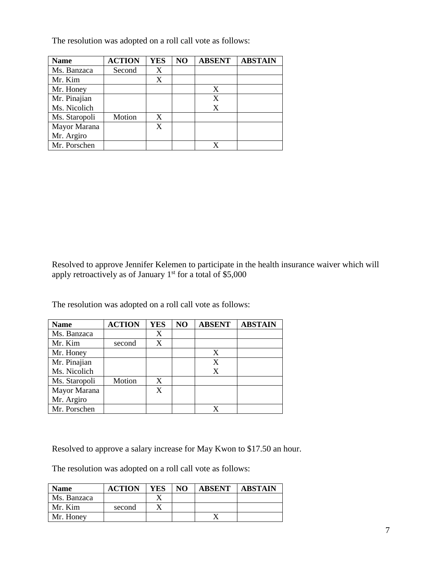The resolution was adopted on a roll call vote as follows:

| <b>Name</b>   | <b>ACTION</b> | <b>YES</b> | NO | <b>ABSENT</b> | <b>ABSTAIN</b> |
|---------------|---------------|------------|----|---------------|----------------|
| Ms. Banzaca   | Second        | X          |    |               |                |
| Mr. Kim       |               | X          |    |               |                |
| Mr. Honey     |               |            |    | X             |                |
| Mr. Pinajian  |               |            |    | X             |                |
| Ms. Nicolich  |               |            |    | X             |                |
| Ms. Staropoli | Motion        | X          |    |               |                |
| Mayor Marana  |               | X          |    |               |                |
| Mr. Argiro    |               |            |    |               |                |
| Mr. Porschen  |               |            |    |               |                |

Resolved to approve Jennifer Kelemen to participate in the health insurance waiver which will apply retroactively as of January  $1^{st}$  for a total of \$5,000

The resolution was adopted on a roll call vote as follows:

| <b>Name</b>   | <b>ACTION</b> | <b>YES</b> | NO | <b>ABSENT</b> | <b>ABSTAIN</b> |
|---------------|---------------|------------|----|---------------|----------------|
| Ms. Banzaca   |               | X          |    |               |                |
| Mr. Kim       | second        | X          |    |               |                |
| Mr. Honey     |               |            |    | X             |                |
| Mr. Pinajian  |               |            |    | X             |                |
| Ms. Nicolich  |               |            |    | X             |                |
| Ms. Staropoli | Motion        | X          |    |               |                |
| Mayor Marana  |               | X          |    |               |                |
| Mr. Argiro    |               |            |    |               |                |
| Mr. Porschen  |               |            |    |               |                |

Resolved to approve a salary increase for May Kwon to \$17.50 an hour.

The resolution was adopted on a roll call vote as follows:

| <b>Name</b> | <b>ACTION</b> | YES | NO. | <b>ABSENT</b> | <b>ABSTAIN</b> |
|-------------|---------------|-----|-----|---------------|----------------|
| Ms. Banzaca |               |     |     |               |                |
| Mr. Kim     | second        |     |     |               |                |
| Mr. Honey   |               |     |     |               |                |